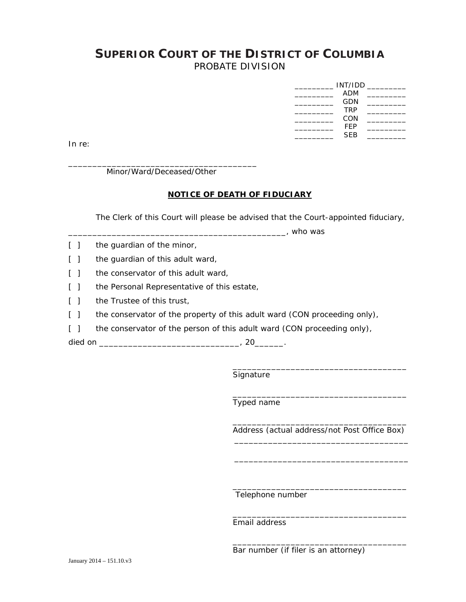## **SUPERIOR COURT OF THE DISTRICT OF COLUMBIA** PROBATE DIVISION

| INT/IDD |            |  |
|---------|------------|--|
|         | <b>ADM</b> |  |
|         | GDN        |  |
|         | <b>TRP</b> |  |
|         | CON        |  |
|         | FFP        |  |
|         | <b>SEB</b> |  |

In re:

\_\_\_\_\_\_\_\_\_\_\_\_\_\_\_\_\_\_\_\_\_\_\_\_\_\_\_\_\_\_\_\_\_\_\_\_\_\_\_ Minor/Ward/Deceased/Other

## **NOTICE OF DEATH OF FIDUCIARY**

The Clerk of this Court will please be advised that the Court-appointed fiduciary,

 $\blacksquare$ , who was

- [ ] the guardian of the minor,
- [ ] the guardian of this adult ward,
- [ ] the conservator of this adult ward,
- [ ] the Personal Representative of this estate,
- [ ] the Trustee of this trust,
- [ ] the conservator of the property of this adult ward (CON proceeding only),
- [ ] the conservator of the person of this adult ward (CON proceeding only),

died on \_\_\_\_\_\_\_\_\_\_\_\_\_\_\_\_\_\_\_\_\_\_\_\_\_\_\_\_\_\_\_\_\_\_, 20\_\_\_\_\_\_\_.

 $\frac{1}{\sqrt{2}}$  ,  $\frac{1}{\sqrt{2}}$  ,  $\frac{1}{\sqrt{2}}$  ,  $\frac{1}{\sqrt{2}}$  ,  $\frac{1}{\sqrt{2}}$  ,  $\frac{1}{\sqrt{2}}$  ,  $\frac{1}{\sqrt{2}}$  ,  $\frac{1}{\sqrt{2}}$  ,  $\frac{1}{\sqrt{2}}$  ,  $\frac{1}{\sqrt{2}}$  ,  $\frac{1}{\sqrt{2}}$  ,  $\frac{1}{\sqrt{2}}$  ,  $\frac{1}{\sqrt{2}}$  ,  $\frac{1}{\sqrt{2}}$  ,  $\frac{1}{\sqrt{2}}$ 

 $\frac{1}{\sqrt{2}}$  ,  $\frac{1}{\sqrt{2}}$  ,  $\frac{1}{\sqrt{2}}$  ,  $\frac{1}{\sqrt{2}}$  ,  $\frac{1}{\sqrt{2}}$  ,  $\frac{1}{\sqrt{2}}$  ,  $\frac{1}{\sqrt{2}}$  ,  $\frac{1}{\sqrt{2}}$  ,  $\frac{1}{\sqrt{2}}$  ,  $\frac{1}{\sqrt{2}}$  ,  $\frac{1}{\sqrt{2}}$  ,  $\frac{1}{\sqrt{2}}$  ,  $\frac{1}{\sqrt{2}}$  ,  $\frac{1}{\sqrt{2}}$  ,  $\frac{1}{\sqrt{2}}$ 

\_\_\_\_\_\_\_\_\_\_\_\_\_\_\_\_\_\_\_\_\_\_\_\_\_\_\_\_\_\_\_\_\_\_\_\_

 $\frac{1}{\sqrt{2}}$  ,  $\frac{1}{\sqrt{2}}$  ,  $\frac{1}{\sqrt{2}}$  ,  $\frac{1}{\sqrt{2}}$  ,  $\frac{1}{\sqrt{2}}$  ,  $\frac{1}{\sqrt{2}}$  ,  $\frac{1}{\sqrt{2}}$  ,  $\frac{1}{\sqrt{2}}$  ,  $\frac{1}{\sqrt{2}}$  ,  $\frac{1}{\sqrt{2}}$  ,  $\frac{1}{\sqrt{2}}$  ,  $\frac{1}{\sqrt{2}}$  ,  $\frac{1}{\sqrt{2}}$  ,  $\frac{1}{\sqrt{2}}$  ,  $\frac{1}{\sqrt{2}}$ 

Signature

Typed name

 $\frac{1}{\sqrt{2}}$  ,  $\frac{1}{\sqrt{2}}$  ,  $\frac{1}{\sqrt{2}}$  ,  $\frac{1}{\sqrt{2}}$  ,  $\frac{1}{\sqrt{2}}$  ,  $\frac{1}{\sqrt{2}}$  ,  $\frac{1}{\sqrt{2}}$  ,  $\frac{1}{\sqrt{2}}$  ,  $\frac{1}{\sqrt{2}}$  ,  $\frac{1}{\sqrt{2}}$  ,  $\frac{1}{\sqrt{2}}$  ,  $\frac{1}{\sqrt{2}}$  ,  $\frac{1}{\sqrt{2}}$  ,  $\frac{1}{\sqrt{2}}$  ,  $\frac{1}{\sqrt{2}}$ Address (actual address/not Post Office Box)

\_\_\_\_\_\_\_\_\_\_\_\_\_\_\_\_\_\_\_\_\_\_\_\_\_\_\_\_\_\_\_\_\_\_\_\_

\_\_\_\_\_\_\_\_\_\_\_\_\_\_\_\_\_\_\_\_\_\_\_\_\_\_\_\_\_\_\_\_\_\_\_\_

\_\_\_\_\_\_\_\_\_\_\_\_\_\_\_\_\_\_\_\_\_\_\_\_\_\_\_\_\_\_\_\_\_\_\_\_

Telephone number

Email address

Bar number (if filer is an attorney)